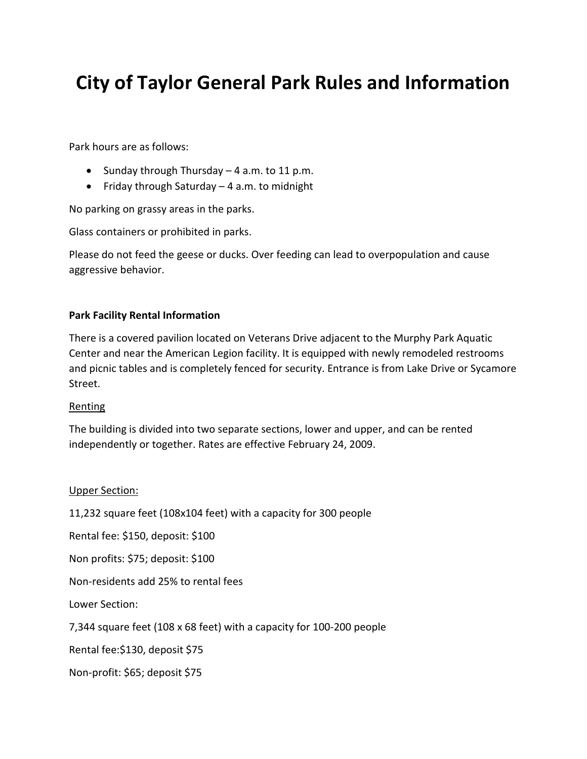# **City of Taylor General Park Rules and Information**

Park hours are as follows:

- Sunday through Thursday 4 a.m. to 11 p.m.
- Friday through Saturday 4 a.m. to midnight

No parking on grassy areas in the parks.

Glass containers or prohibited in parks.

Please do not feed the geese or ducks. Over feeding can lead to overpopulation and cause aggressive behavior.

# **Park Facility Rental Information**

There is a covered pavilion located on Veterans Drive adjacent to the Murphy Park Aquatic Center and near the American Legion facility. It is equipped with newly remodeled restrooms and picnic tables and is completely fenced for security. Entrance is from Lake Drive or Sycamore Street.

## Renting

The building is divided into two separate sections, lower and upper, and can be rented independently or together. Rates are effective February 24, 2009.

## Upper Section:

11,232 square feet (108x104 feet) with a capacity for 300 people

Rental fee: \$150, deposit: \$100

Non profits: \$75; deposit: \$100

Non-residents add 25% to rental fees

Lower Section:

7,344 square feet (108 x 68 feet) with a capacity for 100-200 people

Rental fee:\$130, deposit \$75

Non-profit: \$65; deposit \$75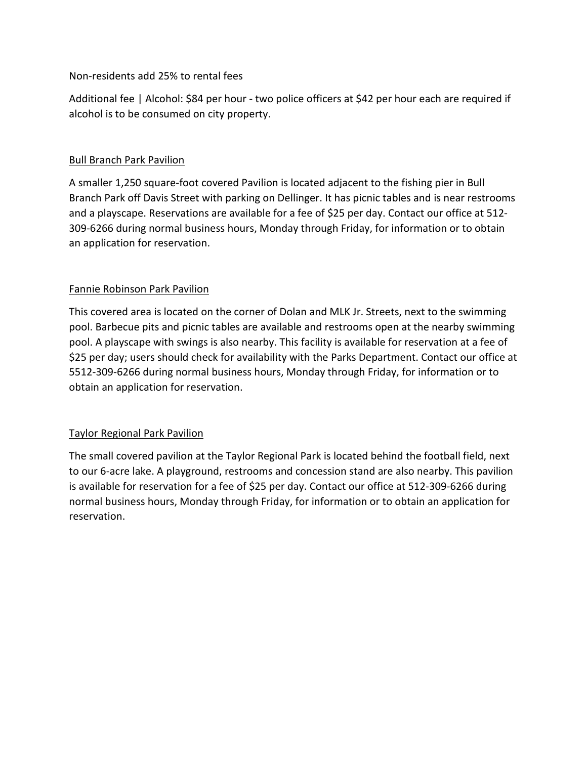# Non-residents add 25% to rental fees

Additional fee | Alcohol: \$84 per hour - two police officers at \$42 per hour each are required if alcohol is to be consumed on city property.

# **Bull Branch Park Pavilion**

A smaller 1,250 square-foot covered Pavilion is located adjacent to the fishing pier in Bull Branch Park off Davis Street with parking on Dellinger. It has picnic tables and is near restrooms and a playscape. Reservations are available for a fee of \$25 per day. Contact our office at 512- 309-6266 during normal business hours, Monday through Friday, for information or to obtain an application for reservation.

# Fannie Robinson Park Pavilion

This covered area is located on the corner of Dolan and MLK Jr. Streets, next to the swimming pool. Barbecue pits and picnic tables are available and restrooms open at the nearby swimming pool. A playscape with swings is also nearby. This facility is available for reservation at a fee of \$25 per day; users should check for availability with the Parks Department. Contact our office at 5512-309-6266 during normal business hours, Monday through Friday, for information or to obtain an application for reservation.

# Taylor Regional Park Pavilion

The small covered pavilion at the Taylor Regional Park is located behind the football field, next to our 6-acre lake. A playground, restrooms and concession stand are also nearby. This pavilion is available for reservation for a fee of \$25 per day. Contact our office at 512-309-6266 during normal business hours, Monday through Friday, for information or to obtain an application for reservation.